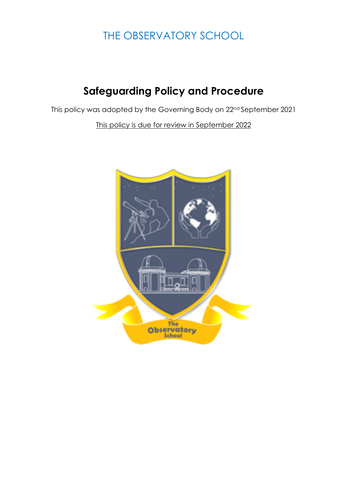# THE OBSERVATORY SCHOOL

# **Safeguarding Policy and Procedure**

This policy was adopted by the Governing Body on 22nd September 2021

This policy is due for review in September 2022

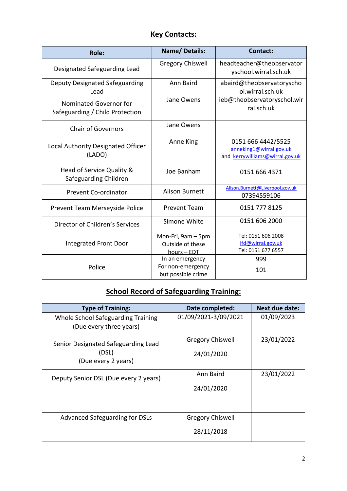# **Key Contacts:**

| <b>Role:</b>                                              | <b>Name/Details:</b>                                       | <b>Contact:</b>                                                                  |
|-----------------------------------------------------------|------------------------------------------------------------|----------------------------------------------------------------------------------|
| Designated Safeguarding Lead                              | <b>Gregory Chiswell</b>                                    | headteacher@theobservator<br>yschool.wirral.sch.uk                               |
| Deputy Designated Safeguarding<br>Lead                    | Ann Baird                                                  | abaird@theobservatoryscho<br>ol.wirral.sch.uk                                    |
| Nominated Governor for<br>Safeguarding / Child Protection | Jane Owens                                                 | ieb@theobservatoryschol.wir<br>ral.sch.uk                                        |
| <b>Chair of Governors</b>                                 | Jane Owens                                                 |                                                                                  |
| Local Authority Designated Officer<br>(LADO)              | Anne King                                                  | 0151 666 4442/5525<br>anneking1@wirral.gov.uk<br>and kerrywilliams@wirral.gov.uk |
| Head of Service Quality &<br>Safeguarding Children        | Joe Banham                                                 | 0151 666 4371                                                                    |
| Prevent Co-ordinator                                      | <b>Alison Burnett</b>                                      | Alison.Burnett@Liverpool.gov.uk<br>07394559106                                   |
| Prevent Team Merseyside Police                            | <b>Prevent Team</b>                                        | 0151 777 8125                                                                    |
| Director of Children's Services                           | Simone White                                               | 0151 606 2000                                                                    |
| <b>Integrated Front Door</b>                              | Mon-Fri, 9am - 5pm<br>Outside of these<br>hours - EDT      | Tel: 0151 606 2008<br>ifd@wirral.gov.uk<br>Tel: 0151 677 6557                    |
| Police                                                    | In an emergency<br>For non-emergency<br>but possible crime | 999<br>101                                                                       |

# **School Record of Safeguarding Training:**

| <b>Type of Training:</b>                                      | Date completed:         | <b>Next due date:</b> |
|---------------------------------------------------------------|-------------------------|-----------------------|
| Whole School Safeguarding Training<br>(Due every three years) | 01/09/2021-3/09/2021    | 01/09/2023            |
| Senior Designated Safeguarding Lead                           | <b>Gregory Chiswell</b> | 23/01/2022            |
| (DSL)<br>(Due every 2 years)                                  | 24/01/2020              |                       |
| Deputy Senior DSL (Due every 2 years)                         | Ann Baird               | 23/01/2022            |
|                                                               | 24/01/2020              |                       |
| Advanced Safeguarding for DSLs                                | <b>Gregory Chiswell</b> |                       |
|                                                               | 28/11/2018              |                       |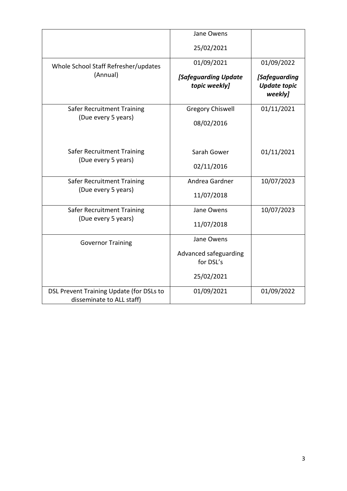|                                                                       | Jane Owens                            |                                                 |
|-----------------------------------------------------------------------|---------------------------------------|-------------------------------------------------|
|                                                                       | 25/02/2021                            |                                                 |
| Whole School Staff Refresher/updates<br>(Annual)                      | 01/09/2021                            | 01/09/2022                                      |
|                                                                       | [Safeguarding Update<br>topic weekly] | [Safeguarding<br><b>Update topic</b><br>weekly] |
| Safer Recruitment Training                                            | <b>Gregory Chiswell</b>               | 01/11/2021                                      |
| (Due every 5 years)                                                   | 08/02/2016                            |                                                 |
|                                                                       |                                       |                                                 |
| <b>Safer Recruitment Training</b>                                     | Sarah Gower                           | 01/11/2021                                      |
| (Due every 5 years)                                                   | 02/11/2016                            |                                                 |
| <b>Safer Recruitment Training</b>                                     | Andrea Gardner                        | 10/07/2023                                      |
| (Due every 5 years)                                                   | 11/07/2018                            |                                                 |
| <b>Safer Recruitment Training</b><br>(Due every 5 years)              | Jane Owens                            | 10/07/2023                                      |
|                                                                       | 11/07/2018                            |                                                 |
| <b>Governor Training</b>                                              | Jane Owens                            |                                                 |
|                                                                       | Advanced safeguarding                 |                                                 |
|                                                                       | for DSL's                             |                                                 |
|                                                                       | 25/02/2021                            |                                                 |
| DSL Prevent Training Update (for DSLs to<br>disseminate to ALL staff) | 01/09/2021                            | 01/09/2022                                      |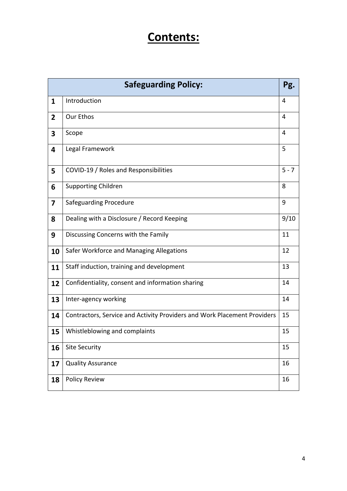# **Contents:**

| <b>Safeguarding Policy:</b> |                                                                          |         |
|-----------------------------|--------------------------------------------------------------------------|---------|
| $\mathbf{1}$                | Introduction                                                             |         |
| $\overline{2}$              | Our Ethos                                                                | 4       |
| 3                           | Scope                                                                    | 4       |
| 4                           | Legal Framework                                                          | 5       |
| 5                           | COVID-19 / Roles and Responsibilities                                    | $5 - 7$ |
| 6                           | <b>Supporting Children</b>                                               | 8       |
| $\overline{7}$              | <b>Safeguarding Procedure</b>                                            | 9       |
| 8                           | Dealing with a Disclosure / Record Keeping                               | 9/10    |
| 9                           | Discussing Concerns with the Family                                      | 11      |
| 10                          | Safer Workforce and Managing Allegations                                 |         |
| 11                          | 13<br>Staff induction, training and development                          |         |
| 12                          | Confidentiality, consent and information sharing                         | 14      |
| 13                          | Inter-agency working                                                     | 14      |
| 14                          | Contractors, Service and Activity Providers and Work Placement Providers | 15      |
| 15                          | Whistleblowing and complaints                                            | 15      |
| 16                          | <b>Site Security</b>                                                     | 15      |
| 17                          | <b>Quality Assurance</b>                                                 | 16      |
| 18                          | <b>Policy Review</b>                                                     | 16      |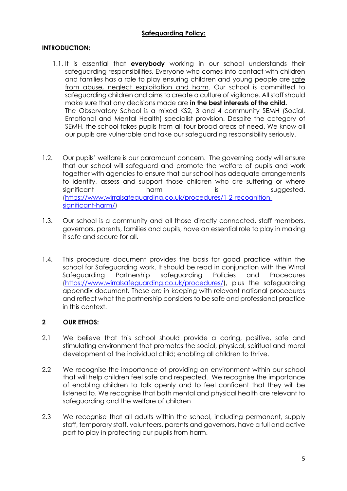#### **Safeguarding Policy:**

# **INTRODUCTION:**

- 1.1. It is essential that **everybody** working in our school understands their safeguarding responsibilities. Everyone who comes into contact with children and families has a role to play ensuring children and young people are safe from abuse, neglect exploitation and harm. Our school is committed to safeguarding children and aims to create a culture of vigilance. All staff should make sure that any decisions made are **in the best interests of the child.** The Observatory School is a mixed KS2, 3 and 4 community SEMH (Social, Emotional and Mental Health) specialist provision. Despite the category of SEMH, the school takes pupils from all four broad areas of need. We know all our pupils are vulnerable and take our safeguarding responsibility seriously.
- 1.2. Our pupils' welfare is our paramount concern. The governing body will ensure that our school will safeguard and promote the welfare of pupils and work together with agencies to ensure that our school has adequate arrangements to identify, assess and support those children who are suffering or where significant is harm is is suggested. (https://www.wirralsafeguarding.co.uk/procedures/1-2-recognitionsignificant-harm/)
- 1.3. Our school is a community and all those directly connected, staff members, governors, parents, families and pupils, have an essential role to play in making it safe and secure for all.
- 1.4. This procedure document provides the basis for good practice within the school for Safeguarding work. It should be read in conjunction with the Wirral Safeguarding Partnership safeguarding Policies and Procedures (https://www.wirralsafeguarding.co.uk/procedures/), plus the safeguarding appendix document. These are in keeping with relevant national procedures and reflect what the partnership considers to be safe and professional practice in this context.

# **2 OUR ETHOS:**

- 2.1 We believe that this school should provide a caring, positive, safe and stimulating environment that promotes the social, physical, spiritual and moral development of the individual child; enabling all children to thrive.
- 2.2 We recognise the importance of providing an environment within our school that will help children feel safe and respected. We recognise the importance of enabling children to talk openly and to feel confident that they will be listened to. We recognise that both mental and physical health are relevant to safeguarding and the welfare of children
- 2.3 We recognise that all adults within the school, including permanent, supply staff, temporary staff, volunteers, parents and governors, have a full and active part to play in protecting our pupils from harm.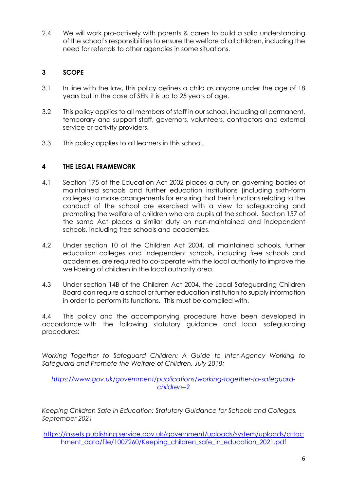2.4 We will work pro-actively with parents & carers to build a solid understanding of the school's responsibilities to ensure the welfare of all children, including the need for referrals to other agencies in some situations.

# **3 SCOPE**

- 3.1 In line with the law, this policy defines a child as anyone under the age of 18 years but in the case of SEN it is up to 25 years of age.
- 3.2 This policy applies to all members of staff in our school, including all permanent, temporary and support staff, governors, volunteers, contractors and external service or activity providers.
- 3.3 This policy applies to all learners in this school.

#### **4 THE LEGAL FRAMEWORK**

- 4.1 Section 175 of the Education Act 2002 places a duty on governing bodies of maintained schools and further education institutions (including sixth-form colleges) to make arrangements for ensuring that their functions relating to the conduct of the school are exercised with a view to safeguarding and promoting the welfare of children who are pupils at the school. Section 157 of the same Act places a similar duty on non-maintained and independent schools, including free schools and academies.
- 4.2 Under section 10 of the Children Act 2004, all maintained schools, further education colleges and independent schools, including free schools and academies, are required to co-operate with the local authority to improve the well-being of children in the local authority area.
- 4.3 Under section 14B of the Children Act 2004, the Local Safeguarding Children Board can require a school or further education institution to supply information in order to perform its functions. This must be complied with.

4.4 This policy and the accompanying procedure have been developed in accordance with the following statutory guidance and local safeguarding procedures:

*Working Together to Safeguard Children: A Guide to Inter-Agency Working to Safeguard and Promote the Welfare of Children, July 2018:*

*https://www.gov.uk/government/publications/working-together-to-safeguardchildren--2*

*Keeping Children Safe in Education: Statutory Guidance for Schools and Colleges, September 2021*

https://assets.publishing.service.gov.uk/government/uploads/system/uploads/attac hment\_data/file/1007260/Keeping\_children\_safe\_in\_education\_2021.pdf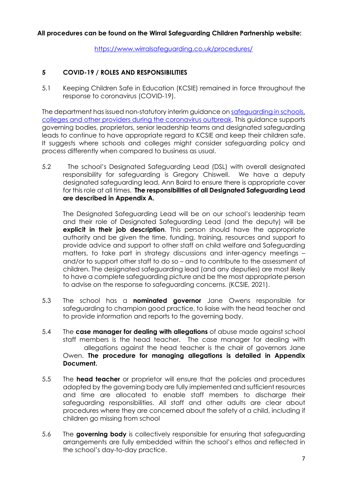https://www.wirralsafeguarding.co.uk/procedures/

# **5 COVID-19 / ROLES AND RESPONSIBILITIES**

5.1 Keeping Children Safe in Education (KCSIE) remained in force throughout the response to coronavirus (COVID-19).

The department has issued non-statutory interim guidance on safeguarding in schools, colleges and other providers during the coronavirus outbreak. This guidance supports governing bodies, proprietors, senior leadership teams and designated safeguarding leads to continue to have appropriate regard to KCSIE and keep their children safe. It suggests where schools and colleges might consider safeguarding policy and process differently when compared to business as usual.

5.2 The school's Designated Safeguarding Lead (DSL) with overall designated responsibility for safeguarding is Gregory Chiswell. We have a deputy designated safeguarding lead, Ann Baird to ensure there is appropriate cover for this role at all times. **The responsibilities of all Designated Safeguarding Lead are described in Appendix A.**

The Designated Safeguarding Lead will be on our school's leadership team and their role of Designated Safeguarding Lead (and the deputy) will be **explicit in their job description**. This person should have the appropriate authority and be given the time, funding, training, resources and support to provide advice and support to other staff on child welfare and Safeguarding matters, to take part in strategy discussions and inter-agency meetings – and/or to support other staff to do so – and to contribute to the assessment of children. The designated safeguarding lead (and any deputies) are most likely to have a complete safeguarding picture and be the most appropriate person to advise on the response to safeguarding concerns. (KCSIE, 2021).

- 5.3 The school has a **nominated governor** Jane Owens responsible for safeguarding to champion good practice, to liaise with the head teacher and to provide information and reports to the governing body.
- 5.4 The **case manager for dealing with allegations** of abuse made against school staff members is the head teacher. The case manager for dealing with allegations against the head teacher is the chair of governors Jane Owen. **The procedure for managing allegations is detailed in Appendix Document.**
- 5.5 The **head teacher** or proprietor will ensure that the policies and procedures adopted by the governing body are fully implemented and sufficient resources and time are allocated to enable staff members to discharge their safeguarding responsibilities. All staff and other adults are clear about procedures where they are concerned about the safety of a child, including if children go missing from school
- 5.6 The **governing body** is collectively responsible for ensuring that safeguarding arrangements are fully embedded within the school's ethos and reflected in the school's day-to-day practice.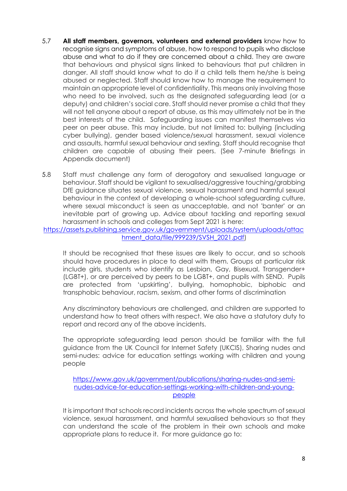- 5.7 **All staff members, governors, volunteers and external providers** know how to recognise signs and symptoms of abuse, how to respond to pupils who disclose abuse and what to do if they are concerned about a child. They are aware that behaviours and physical signs linked to behaviours that put children in danger. All staff should know what to do if a child tells them he/she is being abused or neglected. Staff should know how to manage the requirement to maintain an appropriate level of confidentiality. This means only involving those who need to be involved, such as the designated safeguarding lead (or a deputy) and children's social care. Staff should never promise a child that they will not tell anyone about a report of abuse, as this may ultimately not be in the best interests of the child. Safeguarding issues can manifest themselves via peer on peer abuse. This may include, but not limited to: bullying (including cyber bullying), gender based violence/sexual harassment, sexual violence and assaults, harmful sexual behaviour and sexting. Staff should recognise that children are capable of abusing their peers. (See 7-minute Briefings in Appendix document)
- 5.8 Staff must challenge any form of derogatory and sexualised language or behaviour. Staff should be vigilant to sexualised/aggressive touching/grabbing DfE guidance situates sexual violence, sexual harassment and harmful sexual behaviour in the context of developing a whole-school safeguarding culture, where sexual misconduct is seen as unacceptable, and not 'banter' or an inevitable part of growing up. Advice about tackling and reporting sexual harassment in schools and colleges from Sept 2021 is here:

https://assets.publishing.service.gov.uk/government/uploads/system/uploads/attac hment\_data/file/999239/SVSH\_2021.pdf)

It should be recognised that these issues are likely to occur, and so schools should have procedures in place to deal with them. Groups at particular risk include girls, students who identify as Lesbian, Gay, Bisexual, Transgender+ (LGBT+), or are perceived by peers to be LGBT+, and pupils with SEND. Pupils are protected from 'upskirting', bullying, homophobic, biphobic and transphobic behaviour, racism, sexism, and other forms of discrimination

Any discriminatory behaviours are challenged, and children are supported to understand how to treat others with respect. We also have a statutory duty to report and record any of the above incidents.

The appropriate safeguarding lead person should be familiar with the full guidance from the UK Council for Internet Safety (UKCIS), Sharing nudes and semi-nudes: advice for education settings working with children and young people

https://www.gov.uk/government/publications/sharing-nudes-and-seminudes-advice-for-education-settings-working-with-children-and-youngpeople

It is important that schools record incidents across the whole spectrum of sexual violence, sexual harassment, and harmful sexualised behaviours so that they can understand the scale of the problem in their own schools and make appropriate plans to reduce it. For more guidance go to: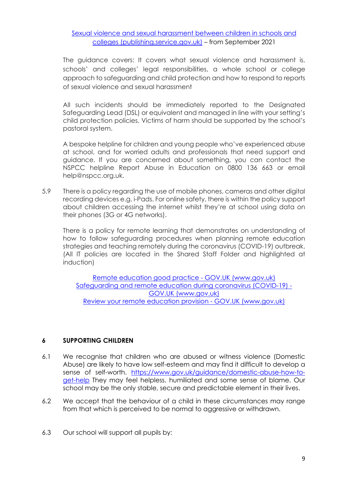Sexual violence and sexual harassment between children in schools and colleges (publishing.service.gov.uk) – from September 2021

The guidance covers: It covers what sexual violence and harassment is, schools' and colleges' legal responsibilities, a whole school or college approach to safeguarding and child protection and how to respond to reports of sexual violence and sexual harassment

All such incidents should be immediately reported to the Designated Safeguarding Lead (DSL) or equivalent and managed in line with your setting's child protection policies. Victims of harm should be supported by the school's pastoral system.

A bespoke helpline for children and young people who've experienced abuse at school, and for worried adults and professionals that need support and guidance. If you are concerned about something, you can contact the NSPCC helpline Report Abuse in Education on 0800 136 663 or email help@nspcc.org.uk.

5.9 There is a policy regarding the use of mobile phones, cameras and other digital recording devices e.g. i-Pads. For online safety, there is within the policy support about children accessing the internet whilst they're at school using data on their phones (3G or 4G networks).

There is a policy for remote learning that demonstrates on understanding of how to follow safeguarding procedures when planning remote education strategies and teaching remotely during the coronavirus (COVID-19) outbreak. (All IT policies are located in the Shared Staff Folder and highlighted at induction)

Remote education good practice - GOV.UK (www.gov.uk) Safeguarding and remote education during coronavirus (COVID-19) - GOV.UK (www.gov.uk) Review your remote education provision - GOV.UK (www.gov.uk)

#### **6 SUPPORTING CHILDREN**

- 6.1 We recognise that children who are abused or witness violence (Domestic Abuse) are likely to have low self-esteem and may find it difficult to develop a sense of self-worth. https://www.gov.uk/guidance/domestic-abuse-how-toget-help They may feel helpless, humiliated and some sense of blame. Our school may be the only stable, secure and predictable element in their lives.
- 6.2 We accept that the behaviour of a child in these circumstances may range from that which is perceived to be normal to aggressive or withdrawn.
- 6.3 Our school will support all pupils by: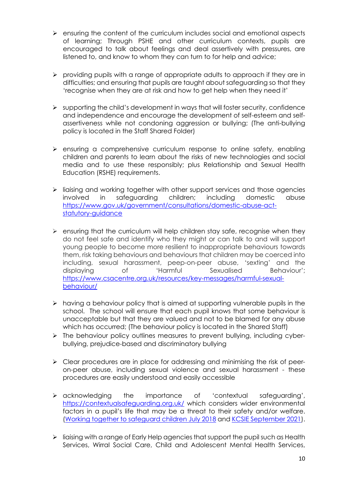- $\triangleright$  ensuring the content of the curriculum includes social and emotional aspects of learning; Through PSHE and other curriculum contexts, pupils are encouraged to talk about feelings and deal assertively with pressures, are listened to, and know to whom they can turn to for help and advice;
- $\triangleright$  providing pupils with a range of appropriate adults to approach if they are in difficulties; and ensuring that pupils are taught about safeguarding so that they 'recognise when they are at risk and how to get help when they need it'
- $\triangleright$  supporting the child's development in ways that will foster security, confidence and independence and encourage the development of self-esteem and selfassertiveness while not condoning aggression or bullying; (The anti-bullying policy is located in the Staff Shared Folder)
- $\triangleright$  ensuring a comprehensive curriculum response to online safety, enabling children and parents to learn about the risks of new technologies and social media and to use these responsibly; plus Relationship and Sexual Health Education (RSHE) requirements.
- $\triangleright$  liaising and working together with other support services and those agencies involved in safeguarding children; including domestic abuse https://www.gov.uk/government/consultations/domestic-abuse-actstatutory-guidance
- $\triangleright$  ensuring that the curriculum will help children stay safe, recognise when they do not feel safe and identify who they might or can talk to and will support young people to become more resilient to inappropriate behaviours towards them, risk taking behaviours and behaviours that children may be coerced into including, sexual harassment, peep-on-peer abuse, 'sexting' and the displaying of 'Harmful Sexualised Behaviour'; https://www.csacentre.org.uk/resources/key-messages/harmful-sexualbehaviour/
- $\triangleright$  having a behaviour policy that is aimed at supporting vulnerable pupils in the school. The school will ensure that each pupil knows that some behaviour is unacceptable but that they are valued and not to be blamed for any abuse which has occurred; (The behaviour policy is located in the Shared Staff)
- $\triangleright$  The behaviour policy outlines measures to prevent bullying, including cyberbullying, prejudice-based and discriminatory bullying
- $\triangleright$  Clear procedures are in place for addressing and minimising the risk of peeron-peer abuse, including sexual violence and sexual harassment - these procedures are easily understood and easily accessible
- $\triangleright$  acknowledging the importance of 'contextual safeguarding', https://contextualsafeguarding.org.uk/ which considers wider environmental factors in a pupil's life that may be a threat to their safety and/or welfare. (Working together to safeguard children July 2018 and KCSIE September 2021).
- $\triangleright$  liaising with a range of Early Help agencies that support the pupil such as Health Services, Wirral Social Care, Child and Adolescent Mental Health Services,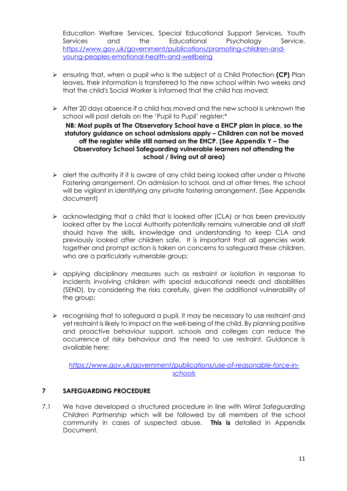Education Welfare Services, Special Educational Support Services, Youth Services and the Educational Psychology Service. https://www.gov.uk/government/publications/promoting-children-andyoung-peoples-emotional-health-and-wellbeing

- Ø ensuring that, when a pupil who is the subject of a Child Protection **(CP)** Plan leaves, their information is transferred to the new school within two weeks and that the child's Social Worker is informed that the child has moved;
- $\triangleright$  After 20 days absence if a child has moved and the new school is unknown the school will post details on the 'Pupil to Pupil' register;\* **NB: Most pupils at The Observatory School have a EHCP plan in place, so the statutory guidance on school admissions apply – Children can not be moved off the register while still named on the EHCP. (See Appendix Y – The Observatory School Safeguarding vulnerable learners not attending the school / living out of area)**
- $\triangleright$  alert the authority if it is aware of any child being looked after under a Private Fostering arrangement. On admission to school, and at other times, the school will be vigilant in identifying any private fostering arrangement. (See Appendix document)
- $\triangleright$  acknowledging that a child that is looked after (CLA) or has been previously looked after by the Local Authority potentially remains vulnerable and all staff should have the skills, knowledge and understanding to keep CLA and previously looked after children safe. It is important that all agencies work together and prompt action is taken on concerns to safeguard these children, who are a particularly vulnerable group;
- Ø applying disciplinary measures such as restraint or isolation in response to incidents involving children with special educational needs and disabilities (SEND), by considering the risks carefully, given the additional vulnerability of the group;
- $\triangleright$  recognising that to safeguard a pupil, it may be necessary to use restraint and yet restraint is likely to impact on the well-being of the child. By planning positive and proactive behaviour support, schools and colleges can reduce the occurrence of risky behaviour and the need to use restraint. Guidance is available here:

*https://www.gov.uk/government/publications/use-of-reasonable-force-inschools*

#### **7 SAFEGUARDING PROCEDURE**

7.1 We have developed a structured procedure in line with *Wirral Safeguarding Children Partnership* which will be followed by all members of the school community in cases of suspected abuse. **This is** detailed in Appendix Document.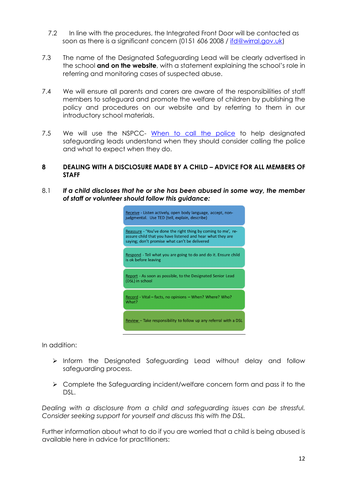- 7.2 In line with the procedures, the Integrated Front Door will be contacted as soon as there is a significant concern (0151 606 2008 / ifd@wirral.gov.uk)
- 7.3 The name of the Designated Safeguarding Lead will be clearly advertised in the school **and on the website**, with a statement explaining the school's role in referring and monitoring cases of suspected abuse.
- 7.4 We will ensure all parents and carers are aware of the responsibilities of staff members to safeguard and promote the welfare of children by publishing the policy and procedures on our website and by referring to them in our introductory school materials.
- 7.5 We will use the NSPCC- When to call the police to help designated safeguarding leads understand when they should consider calling the police and what to expect when they do.
- **8 DEALING WITH A DISCLOSURE MADE BY A CHILD – ADVICE FOR ALL MEMBERS OF STAFF**
- 8.1 *If a child discloses that he or she has been abused in some way, the member of staff or volunteer should follow this guidance:*

| Receive - Listen actively, open body language, accept, non-<br>judgmental. Use TED (tell, explain, describe)                                                                 |  |  |
|------------------------------------------------------------------------------------------------------------------------------------------------------------------------------|--|--|
| Reassure - 'You've done the right thing by coming to me', re-<br>assure child that you have listened and hear what they are<br>saying; don't promise what can't be delivered |  |  |
| Respond - Tell what you are going to do and do it. Ensure child<br>is ok before leaving                                                                                      |  |  |
| Report - As soon as possible, to the Designated Senior Lead<br>(DSL) in school                                                                                               |  |  |
| Record - Vital – facts, no opinions – When? Where? Who?<br>What?                                                                                                             |  |  |
| Review – Take responsibility to follow up any referral with a DSL                                                                                                            |  |  |

In addition:

- $\triangleright$  Inform the Designated Safeguarding Lead without delay and follow safeguarding process.
- Ø Complete the Safeguarding incident/welfare concern form and pass it to the DSL.

*Dealing with a disclosure from a child and safeguarding issues can be stressful. Consider seeking support for yourself and discuss this with the DSL.*

Further information about what to do if you are worried that a child is being abused is available here in advice for practitioners: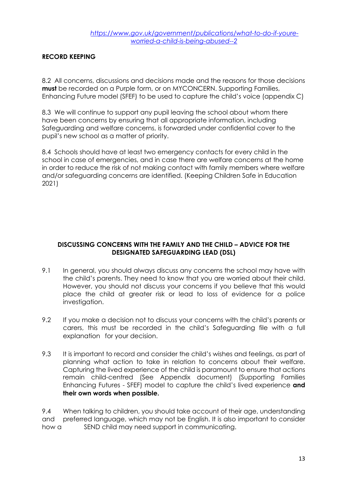#### **RECORD KEEPING**

8.2 All concerns, discussions and decisions made and the reasons for those decisions **must** be recorded on a Purple form, or on MYCONCERN. Supporting Families, Enhancing Future model (SFEF) to be used to capture the child's voice (appendix C)

8.3 We will continue to support any pupil leaving the school about whom there have been concerns by ensuring that all appropriate information, including Safeguarding and welfare concerns, is forwarded under confidential cover to the pupil's new school as a matter of priority.

8.4 Schools should have at least two emergency contacts for every child in the school in case of emergencies, and in case there are welfare concerns at the home in order to reduce the risk of not making contact with family members where welfare and/or safeguarding concerns are identified. (Keeping Children Safe in Education 2021)

#### **DISCUSSING CONCERNS WITH THE FAMILY AND THE CHILD – ADVICE FOR THE DESIGNATED SAFEGUARDING LEAD (DSL)**

- 9.1 In general, you should always discuss any concerns the school may have with the child's parents. They need to know that you are worried about their child. However, you should not discuss your concerns if you believe that this would place the child at greater risk or lead to loss of evidence for a police investigation.
- 9.2 If you make a decision not to discuss your concerns with the child's parents or carers, this must be recorded in the child's Safeguarding file with a full explanation for your decision.
- 9.3 It is important to record and consider the child's wishes and feelings, as part of planning what action to take in relation to concerns about their welfare. Capturing the lived experience of the child is paramount to ensure that actions remain child-centred (See Appendix document) (Supporting Families Enhancing Futures - SFEF) model to capture the child's lived experience **and their own words when possible.**

9.4 When talking to children, you should take account of their age, understanding and preferred language, which may not be English. It is also important to consider how a SEND child may need support in communicating.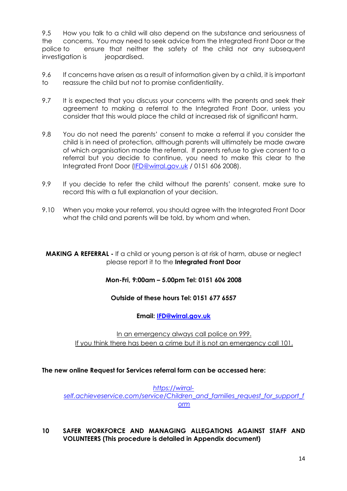9.5 How you talk to a child will also depend on the substance and seriousness of the concerns. You may need to seek advice from the Integrated Front Door or the police to ensure that neither the safety of the child nor any subsequent investigation is ieopardised.

- 9.6 If concerns have arisen as a result of information given by a child, it is important to reassure the child but not to promise confidentiality.
- 9.7 It is expected that you discuss your concerns with the parents and seek their agreement to making a referral to the Integrated Front Door, unless you consider that this would place the child at increased risk of significant harm.
- 9.8 You do not need the parents' consent to make a referral if you consider the child is in need of protection, although parents will ultimately be made aware of which organisation made the referral. If parents refuse to give consent to a referral but you decide to continue, you need to make this clear to the Integrated Front Door (IFD@wirral.gov.uk / 0151 606 2008).
- 9.9 If you decide to refer the child without the parents' consent, make sure to record this with a full explanation of your decision.
- 9.10 When you make your referral, you should agree with the Integrated Front Door what the child and parents will be told, by whom and when.

#### **MAKING A REFERRAL** - If a child or young person is at risk of harm, abuse or neglect please report it to the **Integrated Front Door**

# **Mon-Fri, 9:00am – 5.00pm Tel: 0151 606 2008**

#### **Outside of these hours Tel: 0151 677 6557**

#### **Email: IFD@wirral.gov.uk**

In an emergency always call police on 999. If you think there has been a crime but it is not an emergency call 101.

#### **The new online Request for Services referral form can be accessed here:**

*https://wirralself.achieveservice.com/service/Children\_and\_families\_request\_for\_support\_f orm*

**10 SAFER WORKFORCE AND MANAGING ALLEGATIONS AGAINST STAFF AND VOLUNTEERS (This procedure is detailed in Appendix document)**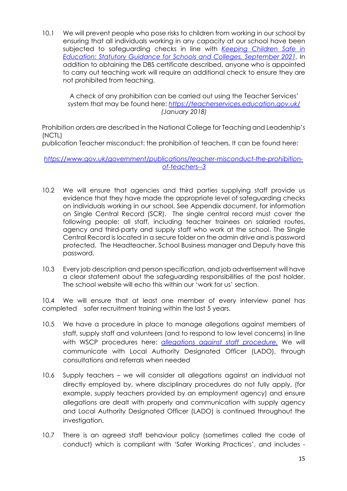10.1 We will prevent people who pose risks to children from working in our school by ensuring that all individuals working in any capacity at our school have been subjected to safeguarding checks in line with *Keeping Children Safe in Education: Statutory Guidance for Schools and Colleges, September 2021.* In addition to obtaining the DBS certificate described, anyone who is appointed to carry out teaching work will require an additional check to ensure they are not prohibited from teaching.

A check of any prohibition can be carried out using the Teacher Services' system that may be found here: *https://teacherservices.education.gov.uk/ (January 2018)*

Prohibition orders are described in the National College for Teaching and Leadership's (NCTL)

publication Teacher misconduct: the prohibition of teachers. It can be found here:

*https://www.gov.uk/government/publications/teacher-misconduct-the-prohibitionof-teachers--3*

- 10.2 We will ensure that agencies and third parties supplying staff provide us evidence that they have made the appropriate level of safeguarding checks on individuals working in our school. See Appendix document, for information on Single Central Record (SCR). The single central record must cover the following people: all staff, including teacher trainees on salaried routes, agency and third-party and supply staff who work at the school. The Single Central Record is located in a secure folder on the admin drive and is password protected. The Headteacher, School Business manager and Deputy have this password.
- 10.3 Every job description and person specification, and job advertisement will have a clear statement about the safeguarding responsibilities of the post holder. The school website will echo this within our 'work for us' section.

10.4 We will ensure that at least one member of every interview panel has completed safer recruitment training within the last 5 years.

- 10.5 We have a procedure in place to manage allegations against members of staff, supply staff and volunteers (and to respond to low level concerns) in line with WSCP procedures here: *allegations against staff procedure.* We will communicate with Local Authority Designated Officer (LADO), through consultations and referrals when needed
- 10.6 Supply teachers we will consider all allegations against an individual not directly employed by, where disciplinary procedures do not fully apply, (for example, supply teachers provided by an employment agency) and ensure allegations are dealt with properly and communication with supply agency and Local Authority Designated Officer (LADO) is continued throughout the investigation.
- 10.7 There is an agreed staff behaviour policy (sometimes called the code of conduct) which is compliant with 'Safer Working Practices', and includes -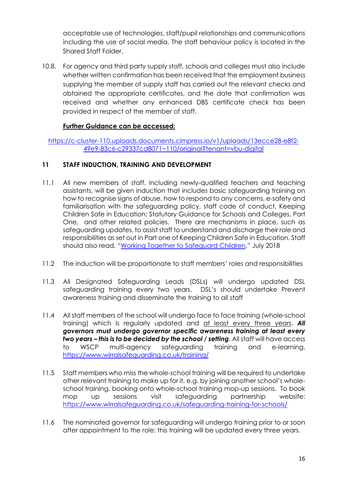acceptable use of technologies, staff/pupil relationships and communications including the use of social media. The staff behaviour policy is located in the Shared Staff Folder.

10.8. For agency and third party supply staff, schools and colleges must also include whether written confirmation has been received that the employment business supplying the member of supply staff has carried out the relevant checks and obtained the appropriate certificates, and the date that confirmation was received and whether any enhanced DBS certificate check has been provided in respect of the member of staff.

# **Further Guidance can be accessed:**

https://c-cluster-110.uploads.documents.cimpress.io/v1/uploads/13ecce28-e8f2- 49e9-83c6-c29337cd8071~110/original?tenant=vbu-digital

# **11 STAFF INDUCTION, TRAINING AND DEVELOPMENT**

- 11.1 All new members of staff, including newly-qualified teachers and teaching assistants, will be given induction that includes basic safeguarding training on how to recognise signs of abuse, how to respond to any concerns, e-safety and familiarisation with the safeguarding policy, staff code of conduct, Keeping Children Safe in Education: Statutory Guidance for Schools and Colleges, Part One, and other related policies. There are mechanisms in place, such as safeguarding updates, to assist staff to understand and discharge their role and responsibilities as set out in Part one of Keeping Children Safe in Education. Staff should also read, "Working Together to Safeguard Children." July 2018
- 11.2 The induction will be proportionate to staff members' roles and responsibilities
- 11.3 All Designated Safeguarding Leads (DSLs) will undergo updated DSL safeguarding training every two years. DSL's should undertake Prevent awareness training and disseminate the training to all staff
- 11.4 All staff members of the school will undergo face to face training (whole-school training) which is regularly updated and at least every three years. *All governors must undergo governor specific awareness training at least every two years – this is to be decided by the school / setting*. All staff will have access to WSCP multi-agency safeguarding training and e-learning. https://www.wirralsafeguarding.co.uk/training/
- 11.5 Staff members who miss the whole-school training will be required to undertake other relevant training to make up for it, e.g. by joining another school's wholeschool training, booking onto whole-school training mop-up sessions. To book mop up sessions visit safeguarding partnership website: https://www.wirralsafeguarding.co.uk/safeguarding-training-for-schools/
- 11.6 The nominated governor for safeguarding will undergo training prior to or soon after appointment to the role; this training will be updated every three years.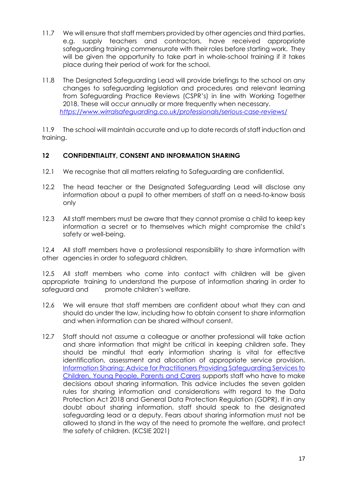- 11.7 We will ensure that staff members provided by other agencies and third parties, e.g. supply teachers and contractors, have received appropriate safeguarding training commensurate with their roles before starting work. They will be given the opportunity to take part in whole-school training if it takes place during their period of work for the school.
- 11.8 The Designated Safeguarding Lead will provide briefings to the school on any changes to safeguarding legislation and procedures and relevant learning from Safeguarding Practice Reviews (CSPR's) in line with Working Together 2018. These will occur annually or more frequently when necessary. *https://www.wirralsafeguarding.co.uk/professionals/serious-case-reviews/*

11.9 The school will maintain accurate and up to date records of staff induction and training.

#### **12 CONFIDENTIALITY, CONSENT AND INFORMATION SHARING**

- 12.1 We recognise that all matters relating to Safeguarding are confidential.
- 12.2 The head teacher or the Designated Safeguarding Lead will disclose any information about a pupil to other members of staff on a need-to-know basis only
- 12.3 All staff members must be aware that they cannot promise a child to keep key information a secret or to themselves which might compromise the child's safety or well-being.

12.4 All staff members have a professional responsibility to share information with other agencies in order to safeguard children.

12.5 All staff members who come into contact with children will be given appropriate training to understand the purpose of information sharing in order to safeguard and promote children's welfare.

- 12.6 We will ensure that staff members are confident about what they can and should do under the law, including how to obtain consent to share information and when information can be shared without consent.
- 12.7 Staff should not assume a colleague or another professional will take action and share information that might be critical in keeping children safe. They should be mindful that early information sharing is vital for effective identification, assessment and allocation of appropriate service provision. Information Sharing: Advice for Practitioners Providing Safeguarding Services to Children, Young People, Parents and Carers supports staff who have to make decisions about sharing information. This advice includes the seven golden rules for sharing information and considerations with regard to the Data Protection Act 2018 and General Data Protection Regulation (GDPR). If in any doubt about sharing information, staff should speak to the designated safeguarding lead or a deputy. Fears about sharing information must not be allowed to stand in the way of the need to promote the welfare, and protect the safety of children. (KCSIE 2021)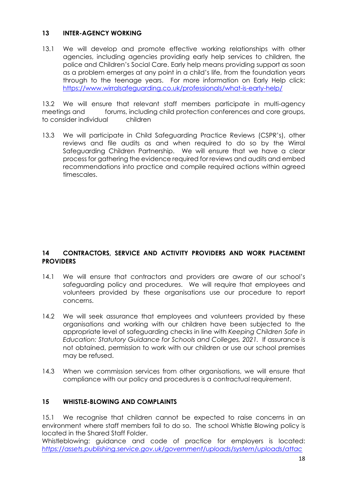#### **13 INTER-AGENCY WORKING**

13.1 We will develop and promote effective working relationships with other agencies, including agencies providing early help services to children, the police and Children's Social Care. Early help means providing support as soon as a problem emerges at any point in a child's life, from the foundation years through to the teenage years. For more information on Early Help click: https://www.wirralsafeguarding.co.uk/professionals/what-is-early-help/

13.2 We will ensure that relevant staff members participate in multi-agency meetings and forums, including child protection conferences and core groups, to consider individual children

13.3 We will participate in Child Safeguarding Practice Reviews (CSPR's), other reviews and file audits as and when required to do so by the Wirral Safeguarding Children Partnership. We will ensure that we have a clear process for gathering the evidence required for reviews and audits and embed recommendations into practice and compile required actions within agreed timescales.

#### **14 CONTRACTORS, SERVICE AND ACTIVITY PROVIDERS AND WORK PLACEMENT PROVIDERS**

- 14.1 We will ensure that contractors and providers are aware of our school's safeguarding policy and procedures. We will require that employees and volunteers provided by these organisations use our procedure to report concerns.
- 14.2 We will seek assurance that employees and volunteers provided by these organisations and working with our children have been subjected to the appropriate level of safeguarding checks in line with *Keeping Children Safe in Education: Statutory Guidance for Schools and Colleges, 2021.* If assurance is not obtained, permission to work with our children or use our school premises may be refused.
- 14.3 When we commission services from other organisations, we will ensure that compliance with our policy and procedures is a contractual requirement.

# **15 WHISTLE-BLOWING AND COMPLAINTS**

15.1 We recognise that children cannot be expected to raise concerns in an environment where staff members fail to do so. The school Whistle Blowing policy is located in the Shared Staff Folder.

Whistleblowing: guidance and code of practice for employers is located: *https://assets.publishing.service.gov.uk/government/uploads/system/uploads/attac*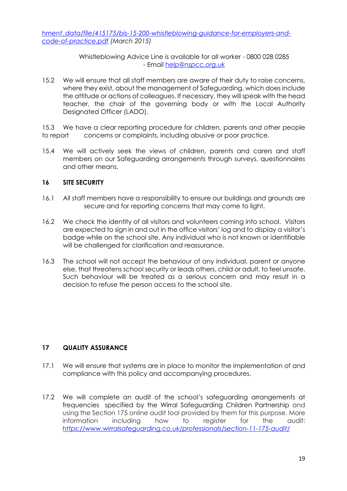*hment\_data/file/415175/bis-15-200-whistleblowing-guidance-for-employers-andcode-of-practice.pdf (March 2015)*

> Whistleblowing Advice Line is available for all worker - 0800 028 0285 - Email *help@nspcc.org.uk*

15.2 We will ensure that all staff members are aware of their duty to raise concerns, where they exist, about the management of Safeguarding, which does include the attitude or actions of colleagues. If necessary, they will speak with the head teacher, the chair of the governing body or with the Local Authority Designated Officer (LADO).

15.3 We have a clear reporting procedure for children, parents and other people to report concerns or complaints, including abusive or poor practice.

15.4 We will actively seek the views of children, parents and carers and staff members on our Safeguarding arrangements through surveys, questionnaires and other means.

#### **16 SITE SECURITY**

- 16.1 All staff members have a responsibility to ensure our buildings and grounds are secure and for reporting concerns that may come to light.
- 16.2 We check the identity of all visitors and volunteers coming into school. Visitors are expected to sign in and out in the office visitors' log and to display a visitor's badge while on the school site. Any individual who is not known or identifiable will be challenged for clarification and reassurance.
- 16.3 The school will not accept the behaviour of any individual, parent or anyone else, that threatens school security or leads others, child or adult, to feel unsafe. Such behaviour will be treated as a serious concern and may result in a decision to refuse the person access to the school site.

#### **17 QUALITY ASSURANCE**

- 17.1 We will ensure that systems are in place to monitor the implementation of and compliance with this policy and accompanying procedures.
- 17.2 We will complete an audit of the school's safeguarding arrangements at frequencies specified by the Wirral Safeguarding Children Partnership and using the Section 175 online audit tool provided by them for this purpose. More information including how to register for the audit: *https://www.wirralsafeguarding.co.uk/professionals/section-11-175-audit/*